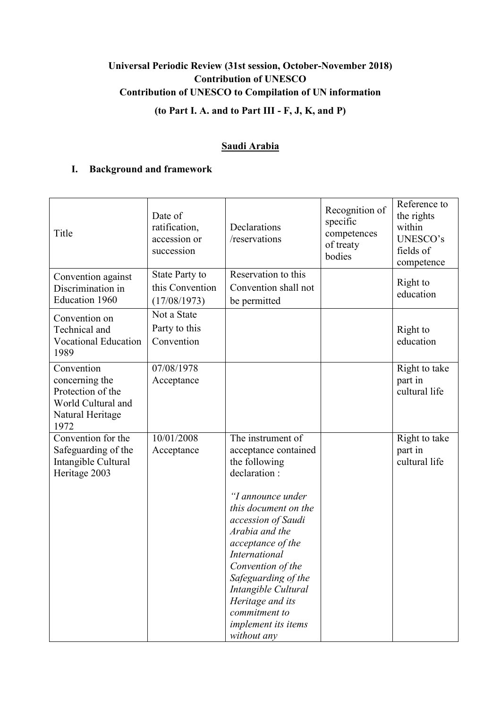# **Universal Periodic Review (31st session, October-November 2018) Contribution of UNESCO Contribution of UNESCO to Compilation of UN information (to Part I. A. and to Part III - F, J, K, and P)**

# **Saudi Arabia**

## **I. Background and framework**

| Title                                                                                               | Date of<br>ratification,<br>accession or<br>succession   | Declarations<br>/reservations                                                                                                                                                                                                                                                                                                                              | Recognition of<br>specific<br>competences<br>of treaty<br>bodies | Reference to<br>the rights<br>within<br>UNESCO's<br>fields of<br>competence |
|-----------------------------------------------------------------------------------------------------|----------------------------------------------------------|------------------------------------------------------------------------------------------------------------------------------------------------------------------------------------------------------------------------------------------------------------------------------------------------------------------------------------------------------------|------------------------------------------------------------------|-----------------------------------------------------------------------------|
| Convention against<br>Discrimination in<br>Education 1960                                           | <b>State Party to</b><br>this Convention<br>(17/08/1973) | Reservation to this<br>Convention shall not<br>be permitted                                                                                                                                                                                                                                                                                                |                                                                  | Right to<br>education                                                       |
| Convention on<br>Technical and<br><b>Vocational Education</b><br>1989                               | Not a State<br>Party to this<br>Convention               |                                                                                                                                                                                                                                                                                                                                                            |                                                                  | Right to<br>education                                                       |
| Convention<br>concerning the<br>Protection of the<br>World Cultural and<br>Natural Heritage<br>1972 | 07/08/1978<br>Acceptance                                 |                                                                                                                                                                                                                                                                                                                                                            |                                                                  | Right to take<br>part in<br>cultural life                                   |
| Convention for the<br>Safeguarding of the<br>Intangible Cultural<br>Heritage 2003                   | 10/01/2008<br>Acceptance                                 | The instrument of<br>acceptance contained<br>the following<br>declaration:<br>"I announce under<br>this document on the<br>accession of Saudi<br>Arabia and the<br>acceptance of the<br><b>International</b><br>Convention of the<br>Safeguarding of the<br>Intangible Cultural<br>Heritage and its<br>commitment to<br>implement its items<br>without any |                                                                  | Right to take<br>part in<br>cultural life                                   |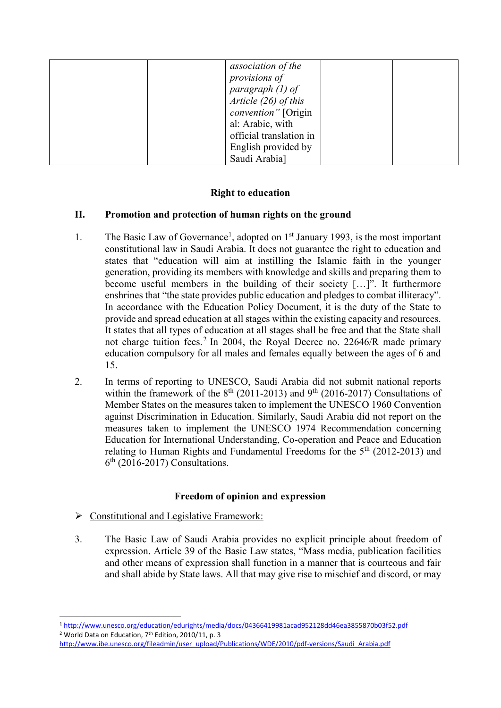| association of the      |
|-------------------------|
| provisions of           |
| paragraph $(1)$ of      |
| Article $(26)$ of this  |
| convention" [Origin     |
| al: Arabic, with        |
| official translation in |
| English provided by     |
| Saudi Arabia]           |

# **Right to education**

## **II. Promotion and protection of human rights on the ground**

- 1. The Basic Law of Governance<sup>1</sup>, adopted on  $1<sup>st</sup>$  January 1993, is the most important constitutional law in Saudi Arabia. It does not guarantee the right to education and states that "education will aim at instilling the Islamic faith in the younger generation, providing its members with knowledge and skills and preparing them to become useful members in the building of their society […]". It furthermore enshrines that "the state provides public education and pledges to combat illiteracy". In accordance with the Education Policy Document, it is the duty of the State to provide and spread education at all stages within the existing capacity and resources. It states that all types of education at all stages shall be free and that the State shall not charge tuition fees.<sup>2</sup> In 2004, the Royal Decree no. 22646/R made primary education compulsory for all males and females equally between the ages of 6 and 15.
- 2. In terms of reporting to UNESCO, Saudi Arabia did not submit national reports within the framework of the  $8<sup>th</sup>$  (2011-2013) and 9<sup>th</sup> (2016-2017) Consultations of Member States on the measures taken to implement the UNESCO 1960 Convention against Discrimination in Education. Similarly, Saudi Arabia did not report on the measures taken to implement the UNESCO 1974 Recommendation concerning Education for International Understanding, Co-operation and Peace and Education relating to Human Rights and Fundamental Freedoms for the  $5<sup>th</sup>$  (2012-2013) and 6<sup>th</sup> (2016-2017) Consultations.

#### **Freedom of opinion and expression**

 $\triangleright$  Constitutional and Legislative Framework:

**.** 

3. The Basic Law of Saudi Arabia provides no explicit principle about freedom of expression. Article 39 of the Basic Law states, "Mass media, publication facilities and other means of expression shall function in a manner that is courteous and fair and shall abide by State laws. All that may give rise to mischief and discord, or may

<sup>1</sup> <http://www.unesco.org/education/edurights/media/docs/04366419981acad952128dd46ea3855870b03f52.pdf> <sup>2</sup> World Data on Education, 7<sup>th</sup> Edition, 2010/11, p. 3

[http://www.ibe.unesco.org/fileadmin/user\\_upload/Publications/WDE/2010/pdf-versions/Saudi\\_Arabia.pdf](http://www.ibe.unesco.org/fileadmin/user_upload/Publications/WDE/2010/pdf-versions/Saudi_Arabia.pdf)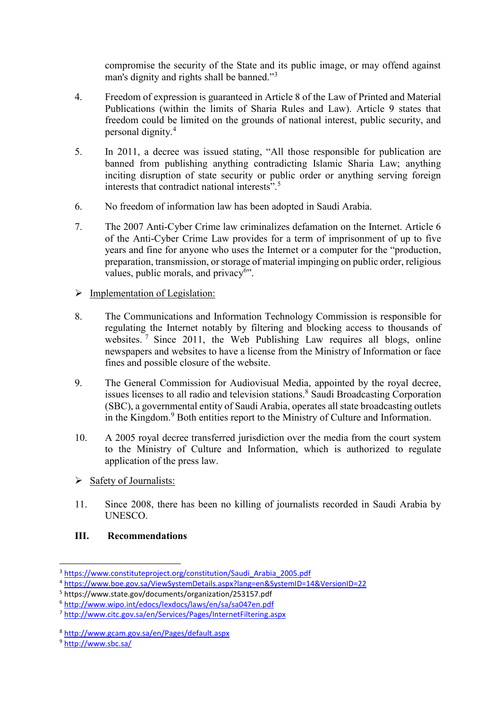compromise the security of the State and its public image, or may offend against man's dignity and rights shall be banned."<sup>3</sup>

- 4. Freedom of expression is guaranteed in Article 8 of the Law of Printed and Material Publications (within the limits of Sharia Rules and Law). Article 9 states that freedom could be limited on the grounds of national interest, public security, and personal dignity.<sup>4</sup>
- 5. In 2011, a decree was issued stating, "All those responsible for publication are banned from publishing anything contradicting Islamic Sharia Law; anything inciting disruption of state security or public order or anything serving foreign interests that contradict national interests".<sup>5</sup>
- 6. No freedom of information law has been adopted in Saudi Arabia.
- 7. The 2007 Anti-Cyber Crime law criminalizes defamation on the Internet. Article 6 of the Anti-Cyber Crime Law provides for a term of imprisonment of up to five years and fine for anyone who uses the Internet or a computer for the "production, preparation, transmission, or storage of material impinging on public order, religious values, public morals, and privacy<sup>6</sup>".
- $\triangleright$  Implementation of Legislation:
- 8. The Communications and Information Technology Commission is responsible for regulating the Internet notably by filtering and blocking access to thousands of websites.  $\frac{7}{7}$  Since 2011, the Web Publishing Law requires all blogs, online newspapers and websites to have a license from the Ministry of Information or face fines and possible closure of the website.
- 9. The General Commission for Audiovisual Media, appointed by the royal decree, issues licenses to all radio and television stations.<sup>8</sup> Saudi Broadcasting Corporation (SBC), a governmental entity of Saudi Arabia, operates all state broadcasting outlets in the Kingdom.<sup>9</sup> Both entities report to the Ministry of Culture and Information.
- 10. A 2005 royal decree transferred jurisdiction over the media from the court system to the Ministry of Culture and Information, which is authorized to regulate application of the press law.
- $\triangleright$  Safety of Journalists:
- 11. Since 2008, there has been no killing of journalists recorded in Saudi Arabia by UNESCO.

## **III. Recommendations**

<sup>3</sup> [https://www.constituteproject.org/constitution/Saudi\\_Arabia\\_2005.pdf](https://www.constituteproject.org/constitution/Saudi_Arabia_2005.pdf)

<sup>4</sup> <https://www.boe.gov.sa/ViewSystemDetails.aspx?lang=en&SystemID=14&VersionID=22>

<sup>5</sup> https://www.state.gov/documents/organization/253157.pdf

<sup>6</sup> <http://www.wipo.int/edocs/lexdocs/laws/en/sa/sa047en.pdf>

<sup>7</sup> <http://www.citc.gov.sa/en/Services/Pages/InternetFiltering.aspx>

<sup>8</sup> <http://www.gcam.gov.sa/en/Pages/default.aspx>

<sup>9</sup> <http://www.sbc.sa/>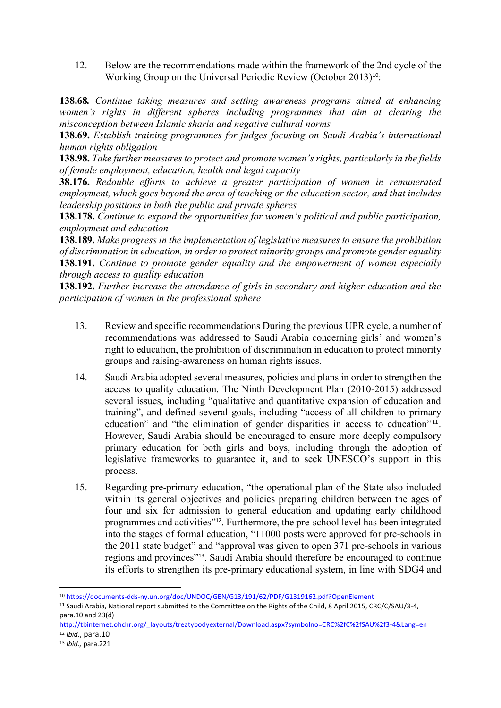12. Below are the recommendations made within the framework of the 2nd cycle of the Working Group on the Universal Periodic Review (October 2013)<sup>10</sup>:

**138.68***. Continue taking measures and setting awareness programs aimed at enhancing women's rights in different spheres including programmes that aim at clearing the misconception between Islamic sharia and negative cultural norms*

**138.69.** *Establish training programmes for judges focusing on Saudi Arabia's international human rights obligation*

**138.98.** *Take further measures to protect and promote women's rights, particularly in the fields of female employment, education, health and legal capacity*

**38.176.** *Redouble efforts to achieve a greater participation of women in remunerated employment, which goes beyond the area of teaching or the education sector, and that includes leadership positions in both the public and private spheres*

**138.178.** *Continue to expand the opportunities for women's political and public participation, employment and education*

**138.189.** *Make progress in the implementation of legislative measures to ensure the prohibition of discrimination in education, in order to protect minority groups and promote gender equality* **138.191.** *Continue to promote gender equality and the empowerment of women especially through access to quality education* 

**138.192.** *Further increase the attendance of girls in secondary and higher education and the participation of women in the professional sphere*

- 13. Review and specific recommendations During the previous UPR cycle, a number of recommendations was addressed to Saudi Arabia concerning girls' and women's right to education, the prohibition of discrimination in education to protect minority groups and raising-awareness on human rights issues.
- 14. Saudi Arabia adopted several measures, policies and plans in order to strengthen the access to quality education. The Ninth Development Plan (2010-2015) addressed several issues, including "qualitative and quantitative expansion of education and training", and defined several goals, including "access of all children to primary education" and "the elimination of gender disparities in access to education"<sup>11</sup>. However, Saudi Arabia should be encouraged to ensure more deeply compulsory primary education for both girls and boys, including through the adoption of legislative frameworks to guarantee it, and to seek UNESCO's support in this process.
- 15. Regarding pre-primary education, "the operational plan of the State also included within its general objectives and policies preparing children between the ages of four and six for admission to general education and updating early childhood programmes and activities"12. Furthermore, the pre-school level has been integrated into the stages of formal education, "11000 posts were approved for pre-schools in the 2011 state budget" and "approval was given to open 371 pre-schools in various regions and provinces"13. Saudi Arabia should therefore be encouraged to continue its efforts to strengthen its pre-primary educational system, in line with SDG4 and

**<sup>.</sup>** <sup>10</sup> <https://documents-dds-ny.un.org/doc/UNDOC/GEN/G13/191/62/PDF/G1319162.pdf?OpenElement>

<sup>11</sup> Saudi Arabia, National report submitted to the Committee on the Rights of the Child, 8 April 2015, CRC/C/SAU/3-4, para.10 and 23(d)

[http://tbinternet.ohchr.org/\\_layouts/treatybodyexternal/Download.aspx?symbolno=CRC%2fC%2fSAU%2f3-4&Lang=en](http://tbinternet.ohchr.org/_layouts/treatybodyexternal/Download.aspx?symbolno=CRC%2fC%2fSAU%2f3-4&Lang=en) <sup>12</sup> *Ibid.*, para.10

<sup>13</sup> *Ibid.,* para.221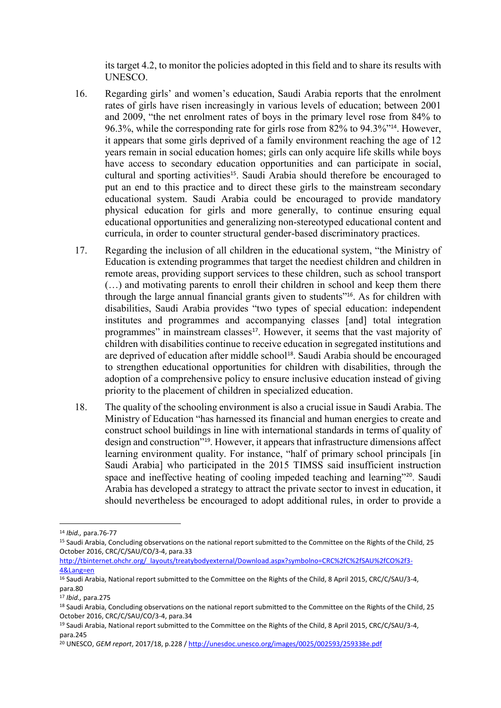its target 4.2, to monitor the policies adopted in this field and to share its results with UNESCO.

- 16. Regarding girls' and women's education, Saudi Arabia reports that the enrolment rates of girls have risen increasingly in various levels of education; between 2001 and 2009, "the net enrolment rates of boys in the primary level rose from 84% to 96.3%, while the corresponding rate for girls rose from 82% to 94.3%"14. However, it appears that some girls deprived of a family environment reaching the age of 12 years remain in social education homes; girls can only acquire life skills while boys have access to secondary education opportunities and can participate in social, cultural and sporting activities<sup>15</sup>. Saudi Arabia should therefore be encouraged to put an end to this practice and to direct these girls to the mainstream secondary educational system. Saudi Arabia could be encouraged to provide mandatory physical education for girls and more generally, to continue ensuring equal educational opportunities and generalizing non-stereotyped educational content and curricula, in order to counter structural gender-based discriminatory practices.
- 17. Regarding the inclusion of all children in the educational system, "the Ministry of Education is extending programmes that target the neediest children and children in remote areas, providing support services to these children, such as school transport (…) and motivating parents to enroll their children in school and keep them there through the large annual financial grants given to students"16. As for children with disabilities, Saudi Arabia provides "two types of special education: independent institutes and programmes and accompanying classes [and] total integration programmes" in mainstream classes<sup>17</sup>. However, it seems that the vast majority of children with disabilities continue to receive education in segregated institutions and are deprived of education after middle school<sup>18</sup>. Saudi Arabia should be encouraged to strengthen educational opportunities for children with disabilities, through the adoption of a comprehensive policy to ensure inclusive education instead of giving priority to the placement of children in specialized education.
- 18. The quality of the schooling environment is also a crucial issue in Saudi Arabia. The Ministry of Education "has harnessed its financial and human energies to create and construct school buildings in line with international standards in terms of quality of design and construction"19. However, it appears that infrastructure dimensions affect learning environment quality. For instance, "half of primary school principals [in Saudi Arabia] who participated in the 2015 TIMSS said insufficient instruction space and ineffective heating of cooling impeded teaching and learning"<sup>20</sup>. Saudi Arabia has developed a strategy to attract the private sector to invest in education, it should nevertheless be encouraged to adopt additional rules, in order to provide a

<sup>14</sup> *Ibid.,* para.76-77

<sup>15</sup> Saudi Arabia, Concluding observations on the national report submitted to the Committee on the Rights of the Child, 25 October 2016, CRC/C/SAU/CO/3-4, para.33

[http://tbinternet.ohchr.org/\\_layouts/treatybodyexternal/Download.aspx?symbolno=CRC%2fC%2fSAU%2fCO%2f3-](http://tbinternet.ohchr.org/_layouts/treatybodyexternal/Download.aspx?symbolno=CRC%2fC%2fSAU%2fCO%2f3-4&Lang=en) [4&Lang=en](http://tbinternet.ohchr.org/_layouts/treatybodyexternal/Download.aspx?symbolno=CRC%2fC%2fSAU%2fCO%2f3-4&Lang=en)

<sup>&</sup>lt;sup>16</sup> Saudi Arabia, National report submitted to the Committee on the Rights of the Child, 8 April 2015, CRC/C/SAU/3-4, para.80

<sup>17</sup> *Ibid.,* para.275

<sup>&</sup>lt;sup>18</sup> Saudi Arabia, Concluding observations on the national report submitted to the Committee on the Rights of the Child, 25 October 2016, CRC/C/SAU/CO/3-4, para.34

<sup>19</sup> Saudi Arabia, National report submitted to the Committee on the Rights of the Child, 8 April 2015, CRC/C/SAU/3-4, para.245

<sup>20</sup> UNESCO, *GEM report*, 2017/18, p.228 [/ http://unesdoc.unesco.org/images/0025/002593/259338e.pdf](http://unesdoc.unesco.org/images/0025/002593/259338e.pdf)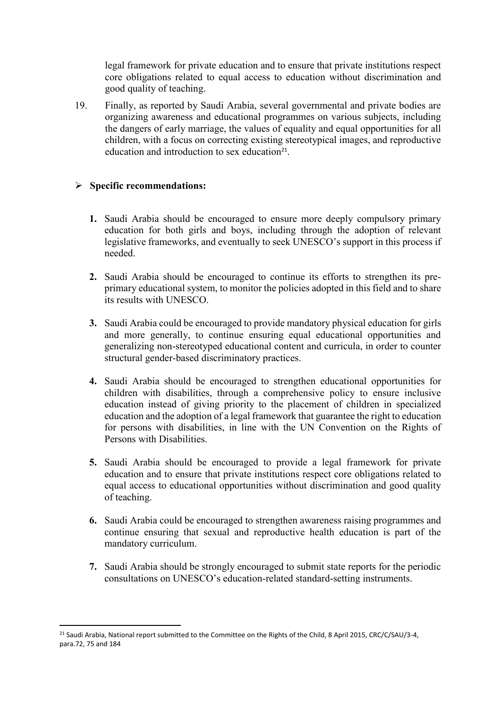legal framework for private education and to ensure that private institutions respect core obligations related to equal access to education without discrimination and good quality of teaching.

19. Finally, as reported by Saudi Arabia, several governmental and private bodies are organizing awareness and educational programmes on various subjects, including the dangers of early marriage, the values of equality and equal opportunities for all children, with a focus on correcting existing stereotypical images, and reproductive education and introduction to sex education<sup>21</sup>.

## **Specific recommendations:**

- **1.** Saudi Arabia should be encouraged to ensure more deeply compulsory primary education for both girls and boys, including through the adoption of relevant legislative frameworks, and eventually to seek UNESCO's support in this process if needed.
- **2.** Saudi Arabia should be encouraged to continue its efforts to strengthen its preprimary educational system, to monitor the policies adopted in this field and to share its results with UNESCO.
- **3.** Saudi Arabia could be encouraged to provide mandatory physical education for girls and more generally, to continue ensuring equal educational opportunities and generalizing non-stereotyped educational content and curricula, in order to counter structural gender-based discriminatory practices.
- **4.** Saudi Arabia should be encouraged to strengthen educational opportunities for children with disabilities, through a comprehensive policy to ensure inclusive education instead of giving priority to the placement of children in specialized education and the adoption of a legal framework that guarantee the right to education for persons with disabilities, in line with the UN Convention on the Rights of Persons with Disabilities.
- **5.** Saudi Arabia should be encouraged to provide a legal framework for private education and to ensure that private institutions respect core obligations related to equal access to educational opportunities without discrimination and good quality of teaching.
- **6.** Saudi Arabia could be encouraged to strengthen awareness raising programmes and continue ensuring that sexual and reproductive health education is part of the mandatory curriculum.
- **7.** Saudi Arabia should be strongly encouraged to submit state reports for the periodic consultations on UNESCO's education-related standard-setting instruments.

<sup>&</sup>lt;sup>21</sup> Saudi Arabia, National report submitted to the Committee on the Rights of the Child, 8 April 2015, CRC/C/SAU/3-4, para.72, 75 and 184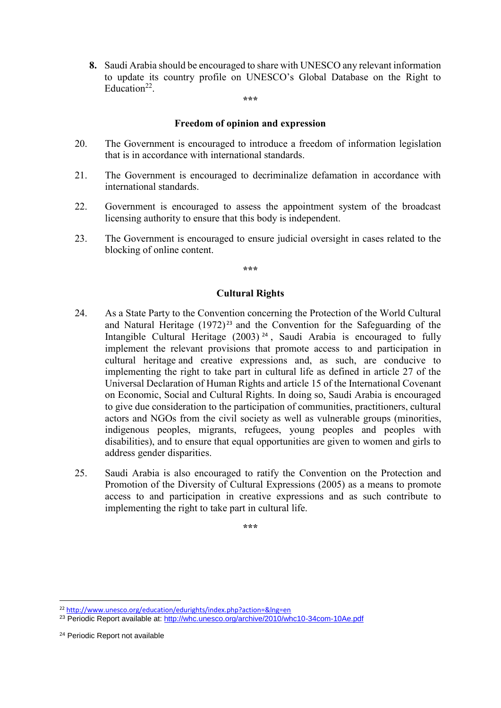**8.** Saudi Arabia should be encouraged to share with UNESCO any relevant information to update its country profile on UNESCO's Global Database on the Right to Education<sup>22</sup>.

#### **\*\*\***

#### **Freedom of opinion and expression**

- 20. The Government is encouraged to introduce a freedom of information legislation that is in accordance with international standards.
- 21. The Government is encouraged to decriminalize defamation in accordance with international standards.
- 22. Government is encouraged to assess the appointment system of the broadcast licensing authority to ensure that this body is independent.
- 23. The Government is encouraged to ensure judicial oversight in cases related to the blocking of online content.

**\*\*\***

#### **Cultural Rights**

- 24. As a State Party to the Convention concerning the Protection of the World Cultural and Natural Heritage  $(1972)^{23}$  and the Convention for the Safeguarding of the Intangible Cultural Heritage (2003)<sup>24</sup>, Saudi Arabia is encouraged to fully implement the relevant provisions that promote access to and participation in cultural heritage and creative expressions and, as such, are conducive to implementing the right to take part in cultural life as defined in article 27 of the Universal Declaration of Human Rights and article 15 of the International Covenant on Economic, Social and Cultural Rights. In doing so, Saudi Arabia is encouraged to give due consideration to the participation of communities, practitioners, cultural actors and NGOs from the civil society as well as vulnerable groups (minorities, indigenous peoples, migrants, refugees, young peoples and peoples with disabilities), and to ensure that equal opportunities are given to women and girls to address gender disparities.
- 25. Saudi Arabia is also encouraged to ratify the Convention on the Protection and Promotion of the Diversity of Cultural Expressions (2005) as a means to promote access to and participation in creative expressions and as such contribute to implementing the right to take part in cultural life.

**\*\*\***

<sup>22</sup> <http://www.unesco.org/education/edurights/index.php?action=&lng=en>

<sup>23</sup> Periodic Report available at:<http://whc.unesco.org/archive/2010/whc10-34com-10Ae.pdf>

<sup>24</sup> Periodic Report not available